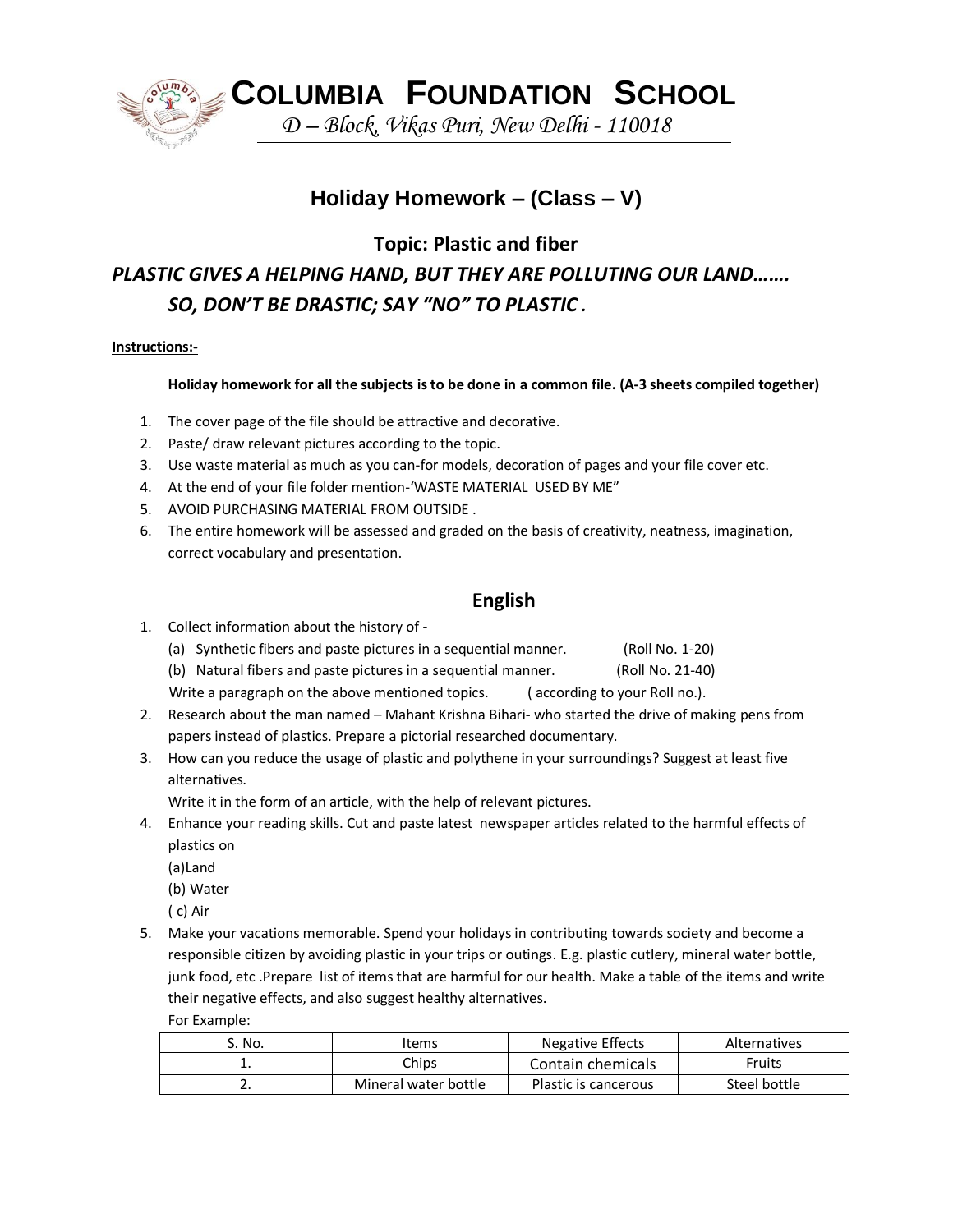

 **COLUMBIA FOUNDATION SCHOOL**

*D – Block, Vikas Puri, New Delhi - 110018*

# **Holiday Homework – (Class – V)**

**Topic: Plastic and fiber**

# *PLASTIC GIVES A HELPING HAND, BUT THEY ARE POLLUTING OUR LAND……. SO, DON'T BE DRASTIC; SAY "NO" TO PLASTIC .*

### **Instructions:-**

### **Holiday homework for all the subjects is to be done in a common file. (A-3 sheets compiled together)**

- 1. The cover page of the file should be attractive and decorative.
- 2. Paste/ draw relevant pictures according to the topic.
- 3. Use waste material as much as you can-for models, decoration of pages and your file cover etc.
- 4. At the end of your file folder mention-'WASTE MATERIAL USED BY ME"
- 5. AVOID PURCHASING MATERIAL FROM OUTSIDE .
- 6. The entire homework will be assessed and graded on the basis of creativity, neatness, imagination, correct vocabulary and presentation.

## **English**

- 1. Collect information about the history of
	- (a) Synthetic fibers and paste pictures in a sequential manner. (Roll No. 1-20)
	- (b) Natural fibers and paste pictures in a sequential manner. (Roll No. 21-40)

Write a paragraph on the above mentioned topics. (according to your Roll no.).

- 2. Research about the man named Mahant Krishna Bihari- who started the drive of making pens from papers instead of plastics. Prepare a pictorial researched documentary.
- 3. How can you reduce the usage of plastic and polythene in your surroundings? Suggest at least five alternatives.

Write it in the form of an article, with the help of relevant pictures.

- 4. Enhance your reading skills. Cut and paste latest newspaper articles related to the harmful effects of plastics on
	- (a)Land
	- (b) Water
	- ( c) Air
- 5. Make your vacations memorable. Spend your holidays in contributing towards society and become a responsible citizen by avoiding plastic in your trips or outings. E.g. plastic cutlery, mineral water bottle, junk food, etc .Prepare list of items that are harmful for our health. Make a table of the items and write their negative effects, and also suggest healthy alternatives. For Example:

| S. No.     | Items                | Negative Effects     | <b>Alternatives</b> |
|------------|----------------------|----------------------|---------------------|
| . .        | Chips                | Contain chemicals    | Fruits              |
| <u>.</u> . | Mineral water bottle | Plastic is cancerous | Steel bottle        |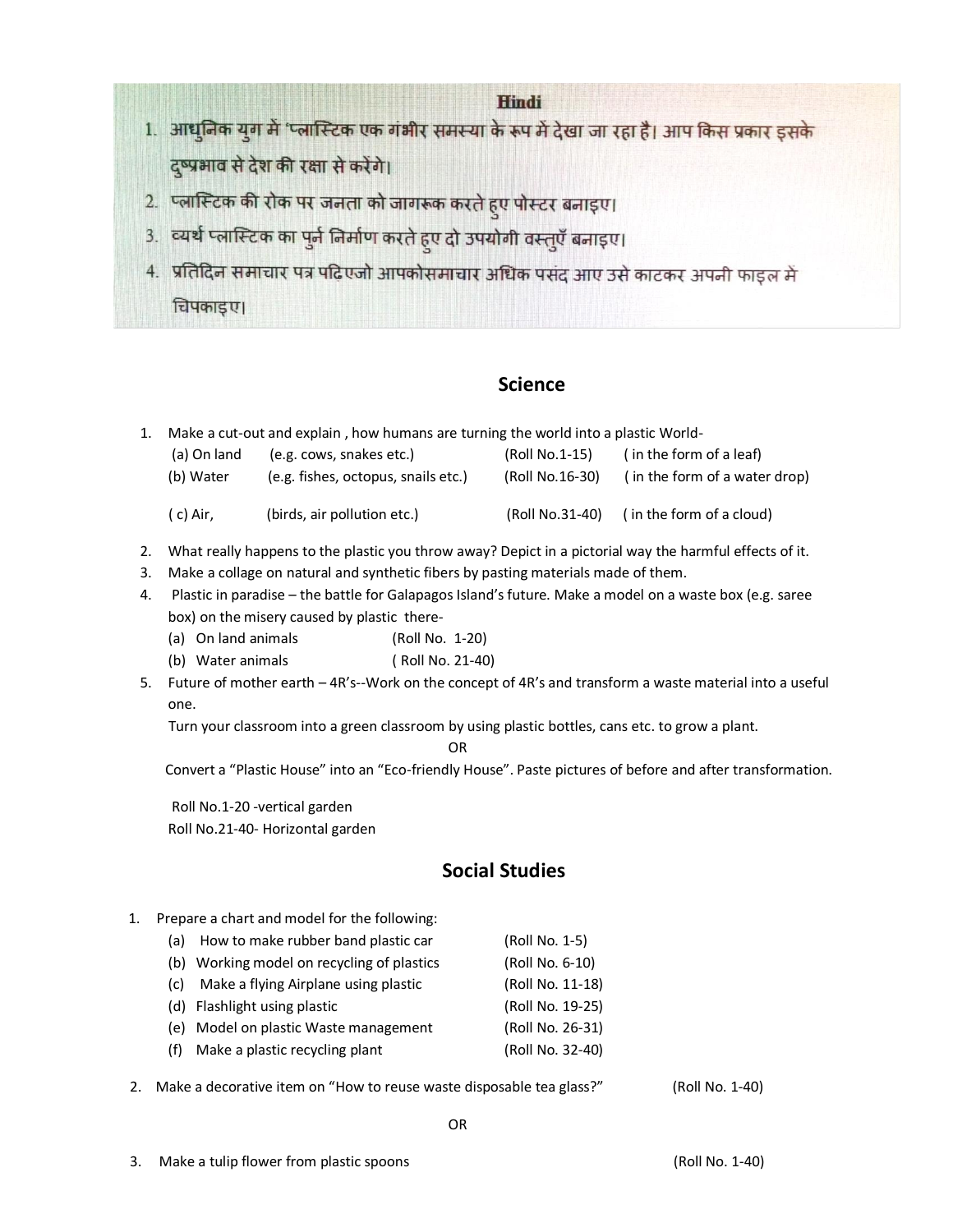#### **Hindi**

- 1. आधुनिक युग में 'प्लास्टिक एक गंभीर समस्या के रूप में देखा जा रहा है। आप किस प्रकार इसके दृष्प्रभाव से देश की रक्षा से करेंगे।
- 2. प्लास्टिक की रोक पर जनता को जागरूक करते हुए पोस्टर बनाइए।
- 3. व्यर्थ प्लास्टिक का पुर्न निर्माण करते हुए दो उपयोगी वस्तुएँ बनाइए।
- 4. प्रतिदिन समाचार पत्र पढिएजो आपकोसमाचार अधिक पसंद आए उसे काटकर अपनी फाइल में चिपकाइए।

## **Science**

1. Make a cut-out and explain , how humans are turning the world into a plastic World-

| (a) On land | (e.g. cows, snakes etc.)            | (Roll No.1-15)  | (in the form of a leaf)       |
|-------------|-------------------------------------|-----------------|-------------------------------|
| (b) Water   | (e.g. fishes, octopus, snails etc.) | (Roll No.16-30) | (in the form of a water drop) |
| (c) Air.    | (birds, air pollution etc.)         | (Roll No.31-40) |                               |

- 2. What really happens to the plastic you throw away? Depict in a pictorial way the harmful effects of it.
- 3. Make a collage on natural and synthetic fibers by pasting materials made of them.
- 4. Plastic in paradise the battle for Galapagos Island's future. Make a model on a waste box (e.g. saree box) on the misery caused by plastic there-
	- (a) On land animals (Roll No. 1-20)
	- (b) Water animals ( Roll No. 21-40)
- 5. Future of mother earth 4R's--Work on the concept of 4R's and transform a waste material into a useful one.

Turn your classroom into a green classroom by using plastic bottles, cans etc. to grow a plant.

OR

Convert a "Plastic House" into an "Eco-friendly House". Paste pictures of before and after transformation.

Roll No.1-20 -vertical garden Roll No.21-40- Horizontal garden

## **Social Studies**

- 1. Prepare a chart and model for the following:
	- (a) How to make rubber band plastic car (Roll No. 1-5)
	- (b) Working model on recycling of plastics (Roll No. 6-10)
	- (c) Make a flying Airplane using plastic (Roll No. 11-18)
	- (d) Flashlight using plastic (Roll No. 19-25)
	- (e) Model on plastic Waste management (Roll No. 26-31)
	- (f) Make a plastic recycling plant (Roll No. 32-40)
- 2. Make a decorative item on "How to reuse waste disposable tea glass?" (Roll No. 1-40)